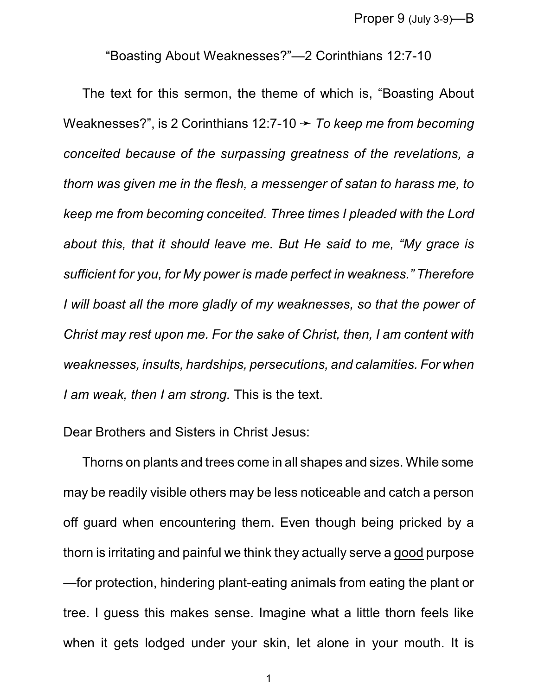"Boasting About Weaknesses?"—2 Corinthians 12:7-10

The text for this sermon, the theme of which is, "Boasting About Weaknesses?", is 2 Corinthians 12:7-10 → *To keep me from becoming conceited because of the surpassing greatness of the revelations, a thorn was given me in the flesh, a messenger of satan to harass me, to keep me from becoming conceited. Three times I pleaded with the Lord about this, that it should leave me. But He said to me, "My grace is sufficient for you, for My power is made perfect in weakness." Therefore I will boast all the more gladly of my weaknesses, so that the power of Christ may rest upon me. For the sake of Christ, then, I am content with weaknesses, insults, hardships, persecutions, and calamities. For when I am weak, then I am strong.* This is the text.

Dear Brothers and Sisters in Christ Jesus:

Thorns on plants and trees come in all shapes and sizes. While some may be readily visible others may be less noticeable and catch a person off guard when encountering them. Even though being pricked by a thorn is irritating and painful we think they actually serve a good purpose —for protection, hindering plant-eating animals from eating the plant or tree. I guess this makes sense. Imagine what a little thorn feels like when it gets lodged under your skin, let alone in your mouth. It is

1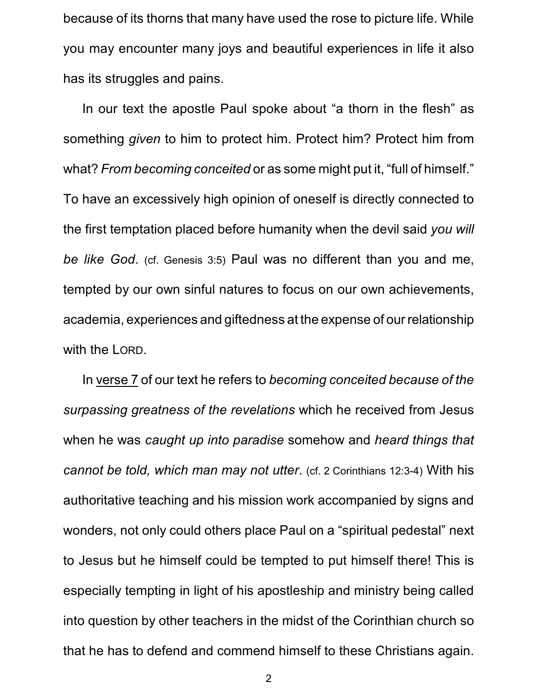because of its thorns that many have used the rose to picture life. While you may encounter many joys and beautiful experiences in life it also has its struggles and pains.

In our text the apostle Paul spoke about "a thorn in the flesh" as something *given* to him to protect him. Protect him? Protect him from what? *From becoming conceited* or as some might put it, "full of himself." To have an excessively high opinion of oneself is directly connected to the first temptation placed before humanity when the devil said *you will be like God*. (cf. Genesis 3:5) Paul was no different than you and me, tempted by our own sinful natures to focus on our own achievements, academia, experiences and giftedness at the expense of ourrelationship with the LORD.

In verse 7 of our text he refers to *becoming conceited because of the surpassing greatness of the revelations* which he received from Jesus when he was *caught up into paradise* somehow and *heard things that cannot be told, which man may not utter*. (cf. 2 Corinthians 12:3-4) With his authoritative teaching and his mission work accompanied by signs and wonders, not only could others place Paul on a "spiritual pedestal" next to Jesus but he himself could be tempted to put himself there! This is especially tempting in light of his apostleship and ministry being called into question by other teachers in the midst of the Corinthian church so that he has to defend and commend himself to these Christians again.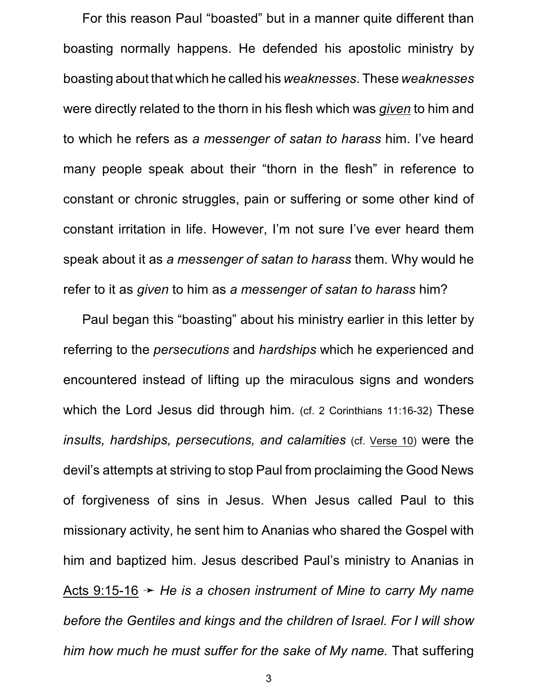For this reason Paul "boasted" but in a manner quite different than boasting normally happens. He defended his apostolic ministry by boasting about that which he called his *weaknesses*. These *weaknesses* were directly related to the thorn in his flesh which was *given* to him and to which he refers as *a messenger of satan to harass* him. I've heard many people speak about their "thorn in the flesh" in reference to constant or chronic struggles, pain or suffering or some other kind of constant irritation in life. However, I'm not sure I've ever heard them speak about it as *a messenger of satan to harass* them. Why would he refer to it as *given* to him as *a messenger of satan to harass* him?

Paul began this "boasting" about his ministry earlier in this letter by referring to the *persecutions* and *hardships* which he experienced and encountered instead of lifting up the miraculous signs and wonders which the Lord Jesus did through him. (cf. 2 Corinthians 11:16-32) These *insults, hardships, persecutions, and calamities* (cf. Verse 10) were the devil's attempts at striving to stop Paul from proclaiming the Good News of forgiveness of sins in Jesus. When Jesus called Paul to this missionary activity, he sent him to Ananias who shared the Gospel with him and baptized him. Jesus described Paul's ministry to Ananias in Acts 9:15-16 ý *He is a chosen instrument of Mine to carry My name before the Gentiles and kings and the children of Israel. For I will show him how much he must suffer for the sake of My name.* That suffering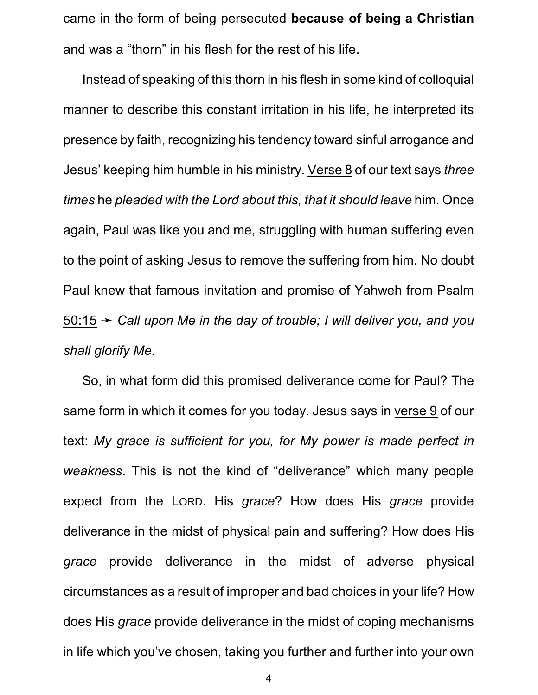came in the form of being persecuted **because of being a Christian** and was a "thorn" in his flesh for the rest of his life.

Instead of speaking of this thorn in his flesh in some kind of colloquial manner to describe this constant irritation in his life, he interpreted its presence by faith, recognizing his tendency toward sinful arrogance and Jesus' keeping him humble in his ministry. Verse 8 of our text says *three times* he *pleaded with the Lord about this, that it should leave* him. Once again, Paul was like you and me, struggling with human suffering even to the point of asking Jesus to remove the suffering from him. No doubt Paul knew that famous invitation and promise of Yahweh from Psalm 50:15 ý *Call upon Me in the day of trouble; I will deliver you, and you shall glorify Me.*

So, in what form did this promised deliverance come for Paul? The same form in which it comes for you today. Jesus says in verse 9 of our text: *My grace is sufficient for you, for My power is made perfect in weakness*. This is not the kind of "deliverance" which many people expect from the LORD. His *grace*? How does His *grace* provide deliverance in the midst of physical pain and suffering? How does His *grace* provide deliverance in the midst of adverse physical circumstances as a result of improper and bad choices in your life? How does His *grace* provide deliverance in the midst of coping mechanisms in life which you've chosen, taking you further and further into your own

4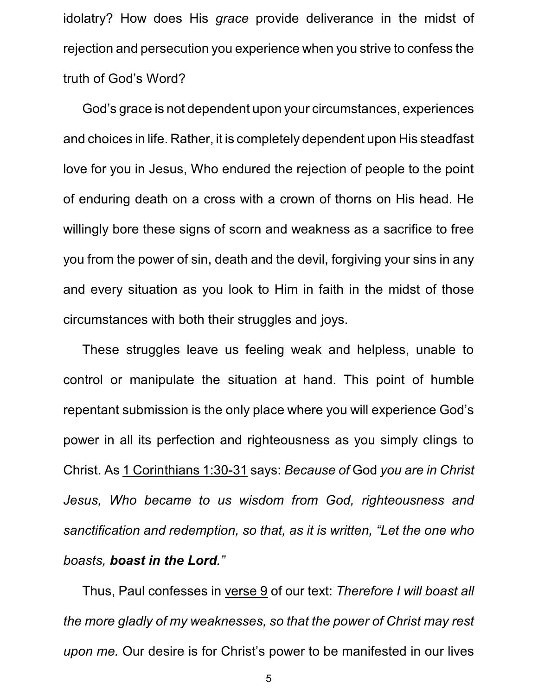idolatry? How does His *grace* provide deliverance in the midst of rejection and persecution you experience when you strive to confess the truth of God's Word?

God's grace is not dependent upon your circumstances, experiences and choices in life. Rather, it is completely dependent upon His steadfast love for you in Jesus, Who endured the rejection of people to the point of enduring death on a cross with a crown of thorns on His head. He willingly bore these signs of scorn and weakness as a sacrifice to free you from the power of sin, death and the devil, forgiving your sins in any and every situation as you look to Him in faith in the midst of those circumstances with both their struggles and joys.

These struggles leave us feeling weak and helpless, unable to control or manipulate the situation at hand. This point of humble repentant submission is the only place where you will experience God's power in all its perfection and righteousness as you simply clings to Christ. As 1 Corinthians 1:30-31 says: *Because of* God *you are in Christ Jesus, Who became to us wisdom from God, righteousness and sanctification and redemption, so that, as it is written, "Let the one who boasts, boast in the Lord."*

Thus, Paul confesses in verse 9 of our text: *Therefore I will boast all the more gladly of my weaknesses, so that the power of Christ may rest upon me.* Our desire is for Christ's power to be manifested in our lives

5